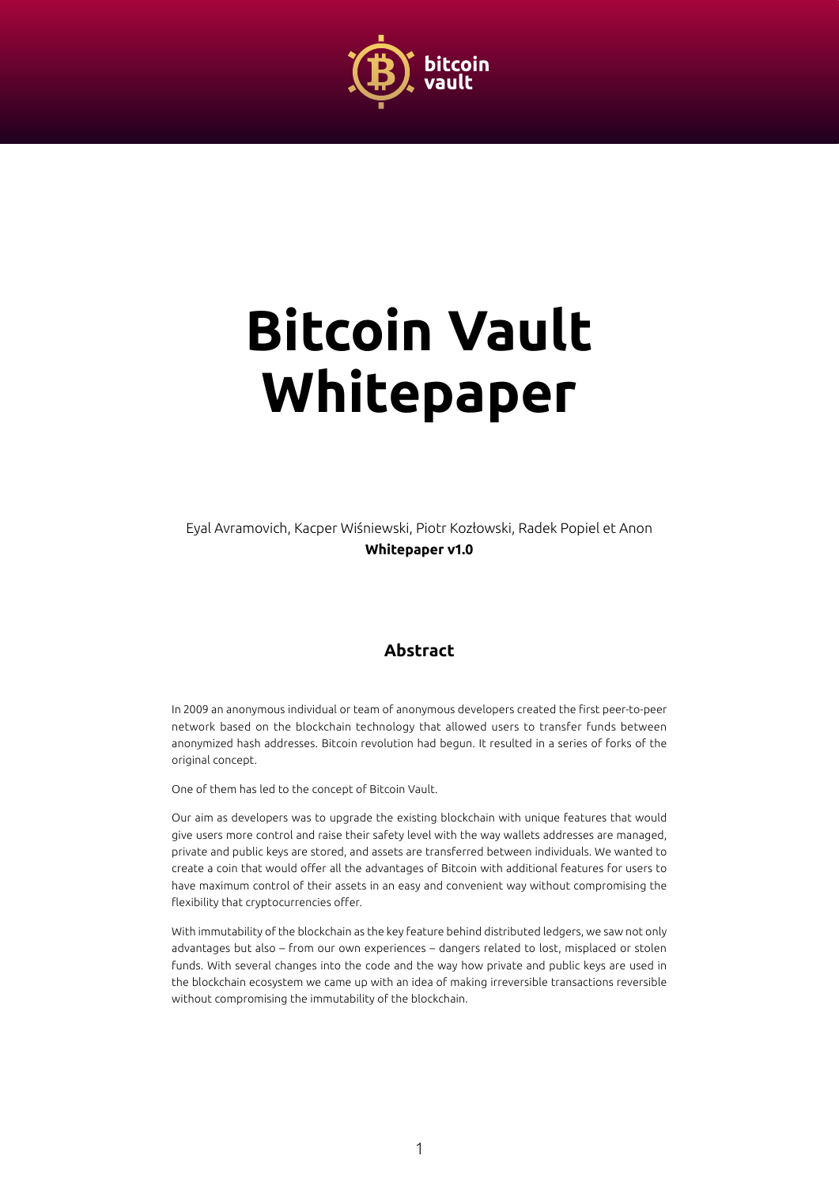

# **Bitcoin Vault Whitepaper**

Eyal Avramovich, Kacper Wiśniewski, Piotr Kozłowski, Radek Popiel et Anon **Whitepaper v1.0**

#### **Abstract**

In 2009 an anonymous individual or team of anonymous developers created the first peer-to-peer network based on the blockchain technology that allowed users to transfer funds between anonymized hash addresses. Bitcoin revolution had begun. It resulted in a series of forks of the original concept.

One of them has led to the concept of Bitcoin Vault.

Our aim as developers was to upgrade the existing blockchain with unique features that would give users more control and raise their safety level with the way wallets addresses are managed, private and public keys are stored, and assets are transferred between individuals. We wanted to create a coin that would offer all the advantages of Bitcoin with additional features for users to have maximum control of their assets in an easy and convenient way without compromising the flexibility that cryptocurrencies offer.

With immutability of the blockchain as the key feature behind distributed ledgers, we saw not only advantages but also – from our own experiences – dangers related to lost, misplaced or stolen funds. With several changes into the code and the way how private and public keys are used in the blockchain ecosystem we came up with an idea of making irreversible transactions reversible without compromising the immutability of the blockchain.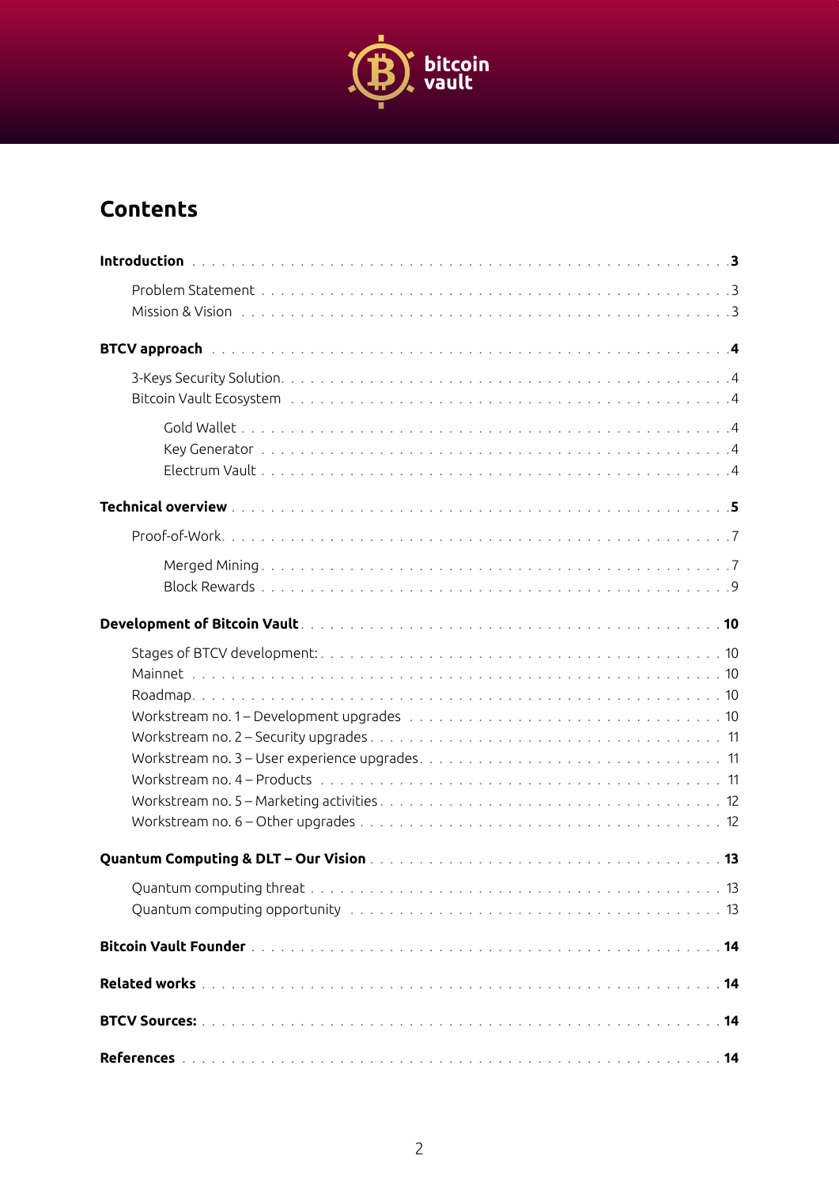

# **Contents**

| BTCV approach with the contract of the contract of the contract of the contract of the contract of the contract of the contract of the contract of the contract of the contract of the contract of the contract of the contrac |  |
|--------------------------------------------------------------------------------------------------------------------------------------------------------------------------------------------------------------------------------|--|
|                                                                                                                                                                                                                                |  |
|                                                                                                                                                                                                                                |  |
|                                                                                                                                                                                                                                |  |
|                                                                                                                                                                                                                                |  |
|                                                                                                                                                                                                                                |  |
|                                                                                                                                                                                                                                |  |
|                                                                                                                                                                                                                                |  |
|                                                                                                                                                                                                                                |  |
|                                                                                                                                                                                                                                |  |
|                                                                                                                                                                                                                                |  |
|                                                                                                                                                                                                                                |  |
|                                                                                                                                                                                                                                |  |
|                                                                                                                                                                                                                                |  |
|                                                                                                                                                                                                                                |  |
|                                                                                                                                                                                                                                |  |
|                                                                                                                                                                                                                                |  |
|                                                                                                                                                                                                                                |  |
|                                                                                                                                                                                                                                |  |
|                                                                                                                                                                                                                                |  |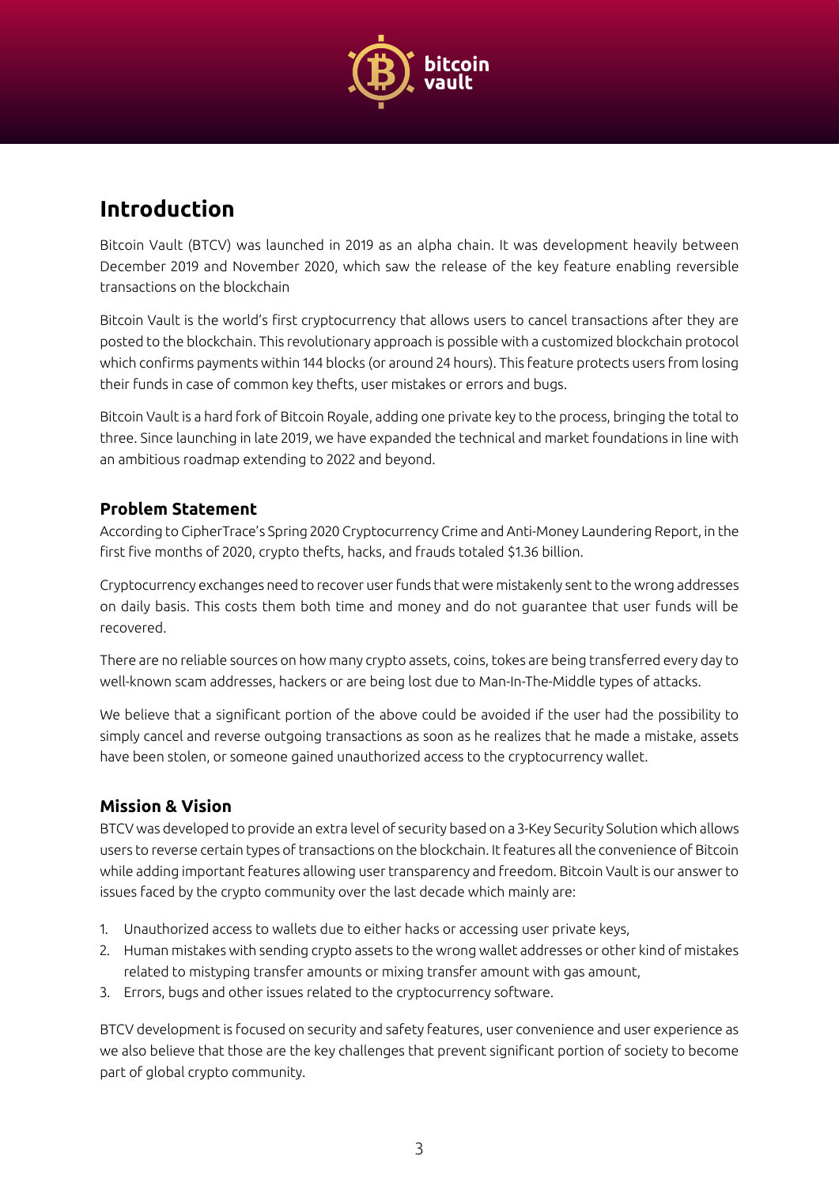

# <span id="page-2-0"></span>**Introduction**

Bitcoin Vault (BTCV) was launched in 2019 as an alpha chain. It was development heavily between December 2019 and November 2020, which saw the release of the key feature enabling reversible transactions on the blockchain

Bitcoin Vault is the world's first cryptocurrency that allows users to cancel transactions after they are posted to the blockchain. This revolutionary approach is possible with a customized blockchain protocol which confirms payments within 144 blocks (or around 24 hours). This feature protects users from losing their funds in case of common key thefts, user mistakes or errors and bugs.

Bitcoin Vault is a hard fork of Bitcoin Royale, adding one private key to the process, bringing the total to three. Since launching in late 2019, we have expanded the technical and market foundations in line with an ambitious roadmap extending to 2022 and beyond.

## **Problem Statement**

According to CipherTrace's Spring 2020 Cryptocurrency Crime and Anti-Money Laundering Report, in the first five months of 2020, crypto thefts, hacks, and frauds totaled \$1.36 billion.

Cryptocurrency exchanges need to recover user funds that were mistakenly sent to the wrong addresses on daily basis. This costs them both time and money and do not guarantee that user funds will be recovered.

There are no reliable sources on how many crypto assets, coins, tokes are being transferred every day to well-known scam addresses, hackers or are being lost due to Man-In-The-Middle types of attacks.

We believe that a significant portion of the above could be avoided if the user had the possibility to simply cancel and reverse outgoing transactions as soon as he realizes that he made a mistake, assets have been stolen, or someone gained unauthorized access to the cryptocurrency wallet.

## **Mission & Vision**

BTCV was developed to provide an extra level of security based on a 3-Key Security Solution which allows users to reverse certain types of transactions on the blockchain. It features all the convenience of Bitcoin while adding important features allowing user transparency and freedom. Bitcoin Vault is our answer to issues faced by the crypto community over the last decade which mainly are:

- 1. Unauthorized access to wallets due to either hacks or accessing user private keys,
- 2. Human mistakes with sending crypto assets to the wrong wallet addresses or other kind of mistakes related to mistyping transfer amounts or mixing transfer amount with gas amount,
- 3. Errors, bugs and other issues related to the cryptocurrency software.

BTCV development is focused on security and safety features, user convenience and user experience as we also believe that those are the key challenges that prevent significant portion of society to become part of global crypto community.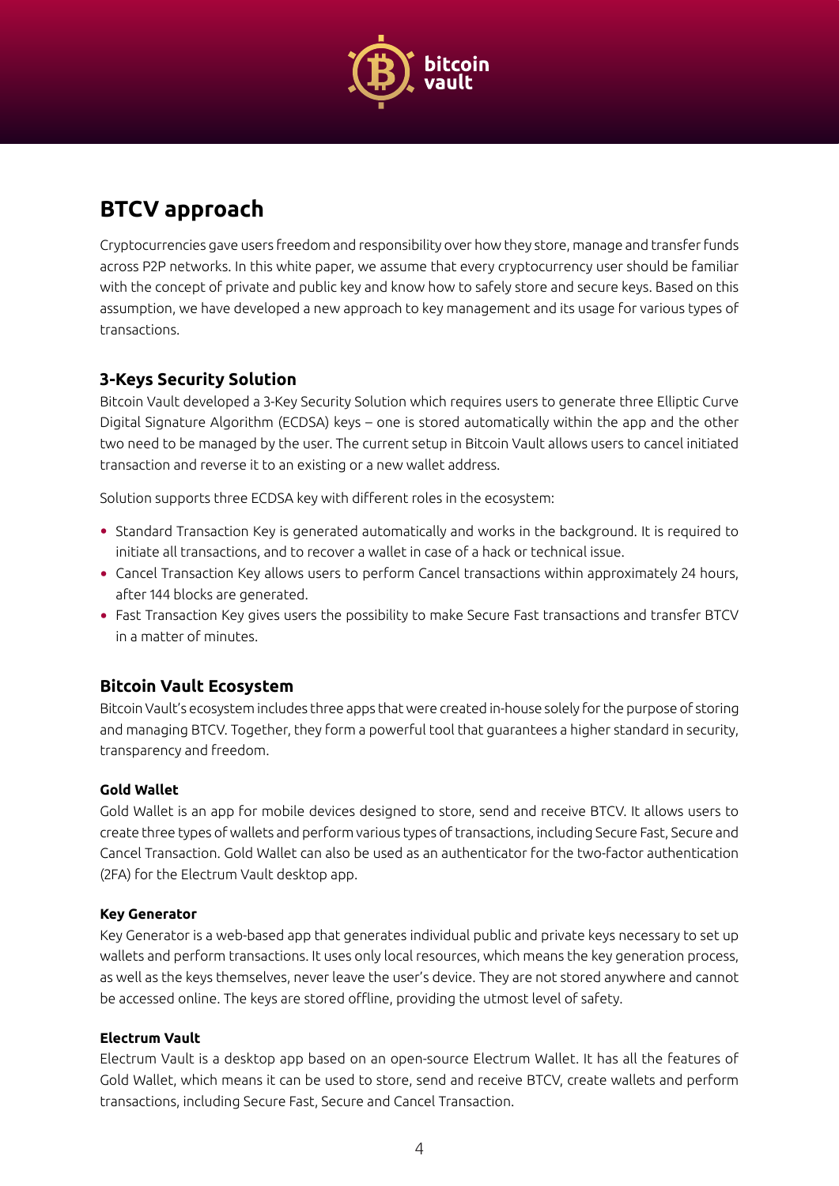

## <span id="page-3-0"></span>**BTCV approach**

Cryptocurrencies gave users freedom and responsibility over how they store, manage and transfer funds across P2P networks. In this white paper, we assume that every cryptocurrency user should be familiar with the concept of private and public key and know how to safely store and secure keys. Based on this assumption, we have developed a new approach to key management and its usage for various types of transactions.

## **3-Keys Security Solution**

Bitcoin Vault developed a 3-Key Security Solution which requires users to generate three Elliptic Curve Digital Signature Algorithm (ECDSA) keys – one is stored automatically within the app and the other two need to be managed by the user. The current setup in Bitcoin Vault allows users to cancel initiated transaction and reverse it to an existing or a new wallet address.

Solution supports three ECDSA key with different roles in the ecosystem:

- Standard Transaction Key is generated automatically and works in the background. It is required to initiate all transactions, and to recover a wallet in case of a hack or technical issue.
- Cancel Transaction Key allows users to perform Cancel transactions within approximately 24 hours, after 144 blocks are generated.
- Fast Transaction Key gives users the possibility to make Secure Fast transactions and transfer BTCV in a matter of minutes.

## **Bitcoin Vault Ecosystem**

Bitcoin Vault's ecosystem includes three apps that were created in-house solely for the purpose of storing and managing BTCV. Together, they form a powerful tool that guarantees a higher standard in security, transparency and freedom.

#### **Gold Wallet**

Gold Wallet is an app for mobile devices designed to store, send and receive BTCV. It allows users to create three types of wallets and perform various types of transactions, including Secure Fast, Secure and Cancel Transaction. Gold Wallet can also be used as an authenticator for the two-factor authentication (2FA) for the Electrum Vault desktop app.

#### **Key Generator**

Key Generator is a web-based app that generates individual public and private keys necessary to set up wallets and perform transactions. It uses only local resources, which means the key generation process, as well as the keys themselves, never leave the user's device. They are not stored anywhere and cannot be accessed online. The keys are stored offline, providing the utmost level of safety.

#### **Electrum Vault**

Electrum Vault is a desktop app based on an open-source Electrum Wallet. It has all the features of Gold Wallet, which means it can be used to store, send and receive BTCV, create wallets and perform transactions, including Secure Fast, Secure and Cancel Transaction.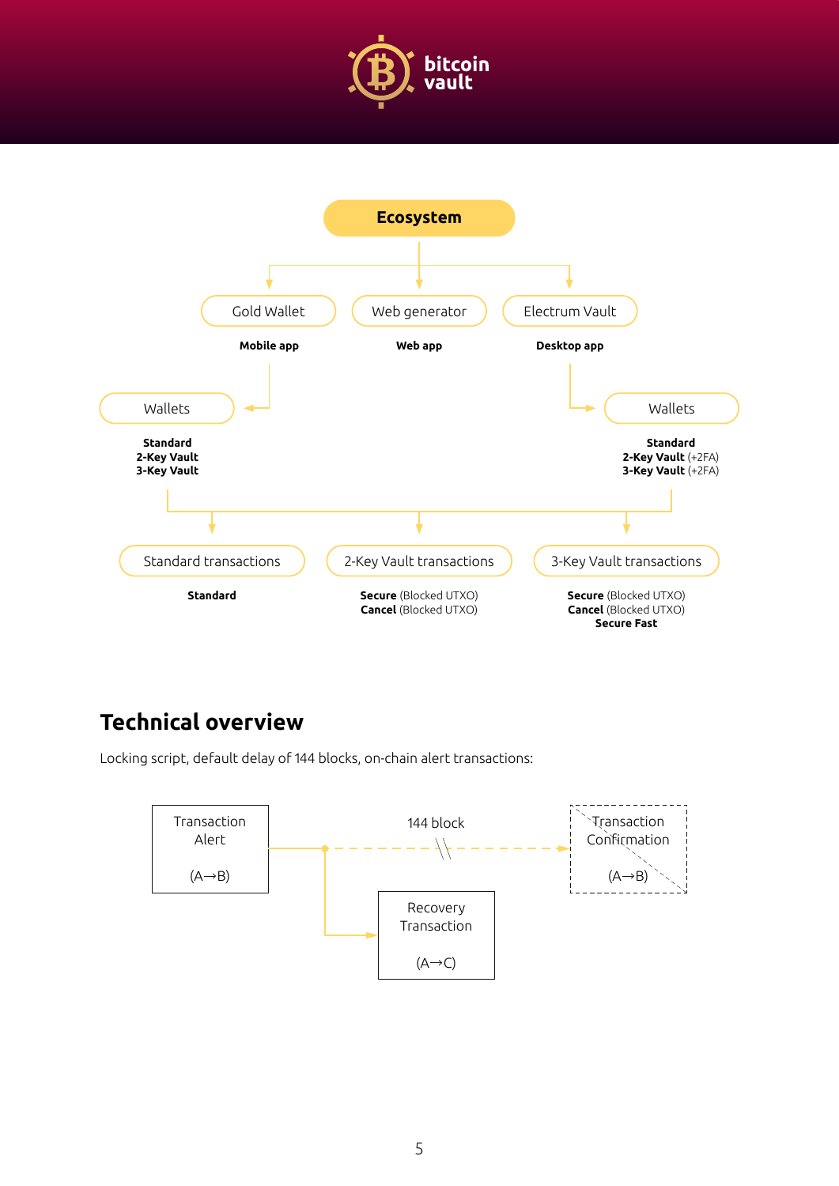

<span id="page-4-0"></span>

## **Technical overview**

Locking script, default delay of 144 blocks, on-chain alert transactions:

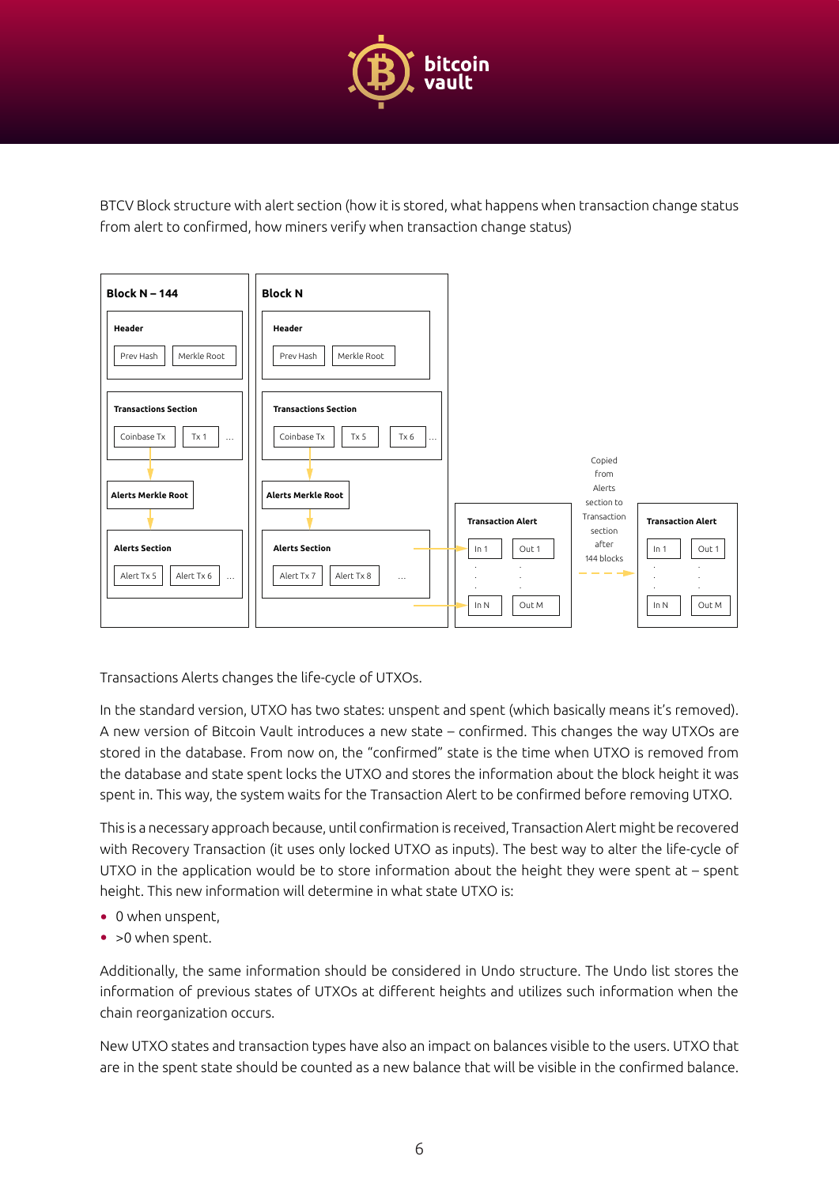

BTCV Block structure with alert section (how it is stored, what happens when transaction change status from alert to confirmed, how miners verify when transaction change status)



Transactions Alerts changes the life-cycle of UTXOs.

In the standard version, UTXO has two states: unspent and spent (which basically means it's removed). A new version of Bitcoin Vault introduces a new state – confirmed. This changes the way UTXOs are stored in the database. From now on, the "confirmed" state is the time when UTXO is removed from the database and state spent locks the UTXO and stores the information about the block height it was spent in. This way, the system waits for the Transaction Alert to be confirmed before removing UTXO.

This is a necessary approach because, until confirmation is received, Transaction Alert might be recovered with Recovery Transaction (it uses only locked UTXO as inputs). The best way to alter the life-cycle of UTXO in the application would be to store information about the height they were spent at – spent height. This new information will determine in what state UTXO is:

- 0 when unspent,
- > 0 when spent.

Additionally, the same information should be considered in Undo structure. The Undo list stores the information of previous states of UTXOs at different heights and utilizes such information when the chain reorganization occurs.

New UTXO states and transaction types have also an impact on balances visible to the users. UTXO that are in the spent state should be counted as a new balance that will be visible in the confirmed balance.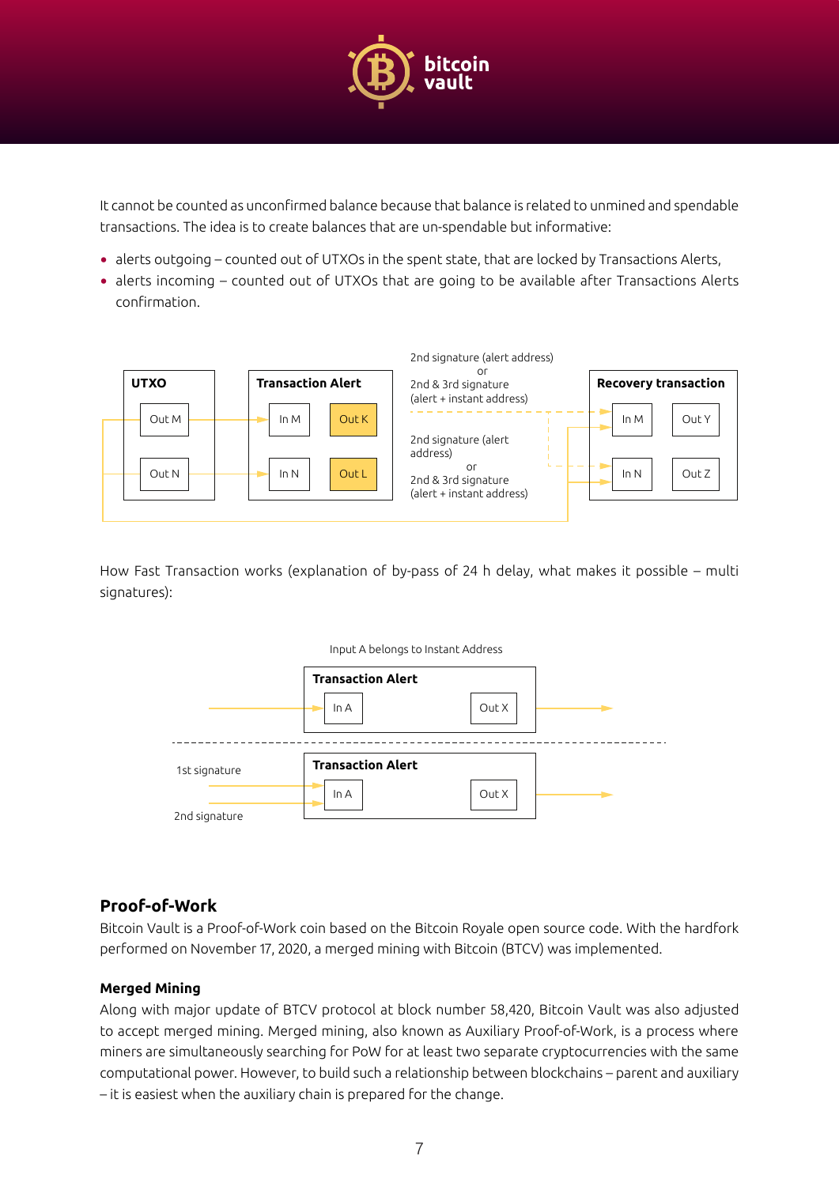

<span id="page-6-0"></span>It cannot be counted as unconfirmed balance because that balance is related to unmined and spendable transactions. The idea is to create balances that are un-spendable but informative:

- alerts outgoing counted out of UTXOs in the spent state, that are locked by Transactions Alerts,
- alerts incoming counted out of UTXOs that are going to be available after Transactions Alerts confirmation.



How Fast Transaction works (explanation of by-pass of 24 h delay, what makes it possible – multi signatures):



## **Proof-of-Work**

Bitcoin Vault is a Proof-of-Work coin based on the Bitcoin Royale open source code. With the hardfork performed on November 17, 2020, a merged mining with Bitcoin (BTCV) was implemented.

#### **Merged Mining**

Along with major update of BTCV protocol at block number 58,420, Bitcoin Vault was also adjusted to accept merged mining. Merged mining, also known as Auxiliary Proof-of-Work, is a process where miners are simultaneously searching for PoW for at least two separate cryptocurrencies with the same computational power. However, to build such a relationship between blockchains – parent and auxiliary – it is easiest when the auxiliary chain is prepared for the change.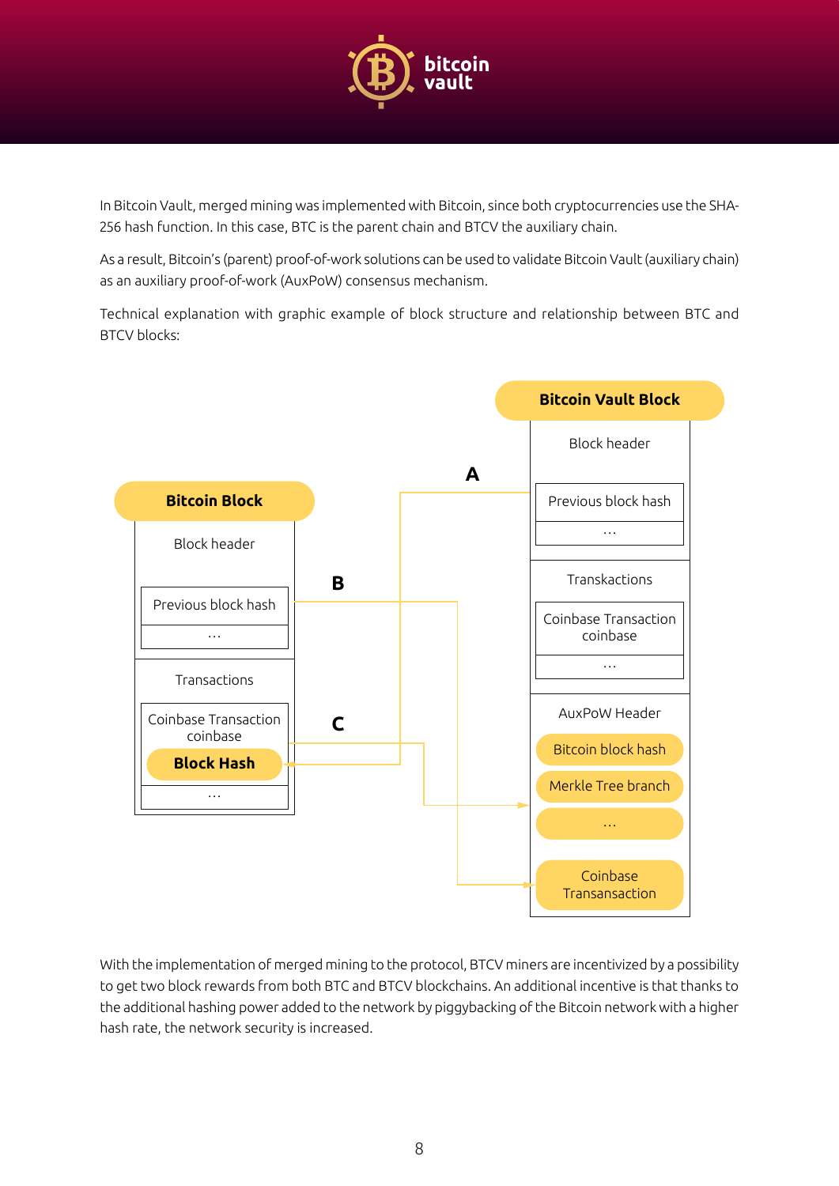

In Bitcoin Vault, merged mining was implemented with Bitcoin, since both cryptocurrencies use the SHA-256 hash function. In this case, BTC is the parent chain and BTCV the auxiliary chain.

As a result, Bitcoin's (parent) proof-of-work solutions can be used to validate Bitcoin Vault (auxiliary chain) as an auxiliary proof-of-work (AuxPoW) consensus mechanism.

Technical explanation with graphic example of block structure and relationship between BTC and BTCV blocks:



With the implementation of merged mining to the protocol, BTCV miners are incentivized by a possibility to get two block rewards from both BTC and BTCV blockchains. An additional incentive is that thanks to the additional hashing power added to the network by piggybacking of the Bitcoin network with a higher hash rate, the network security is increased.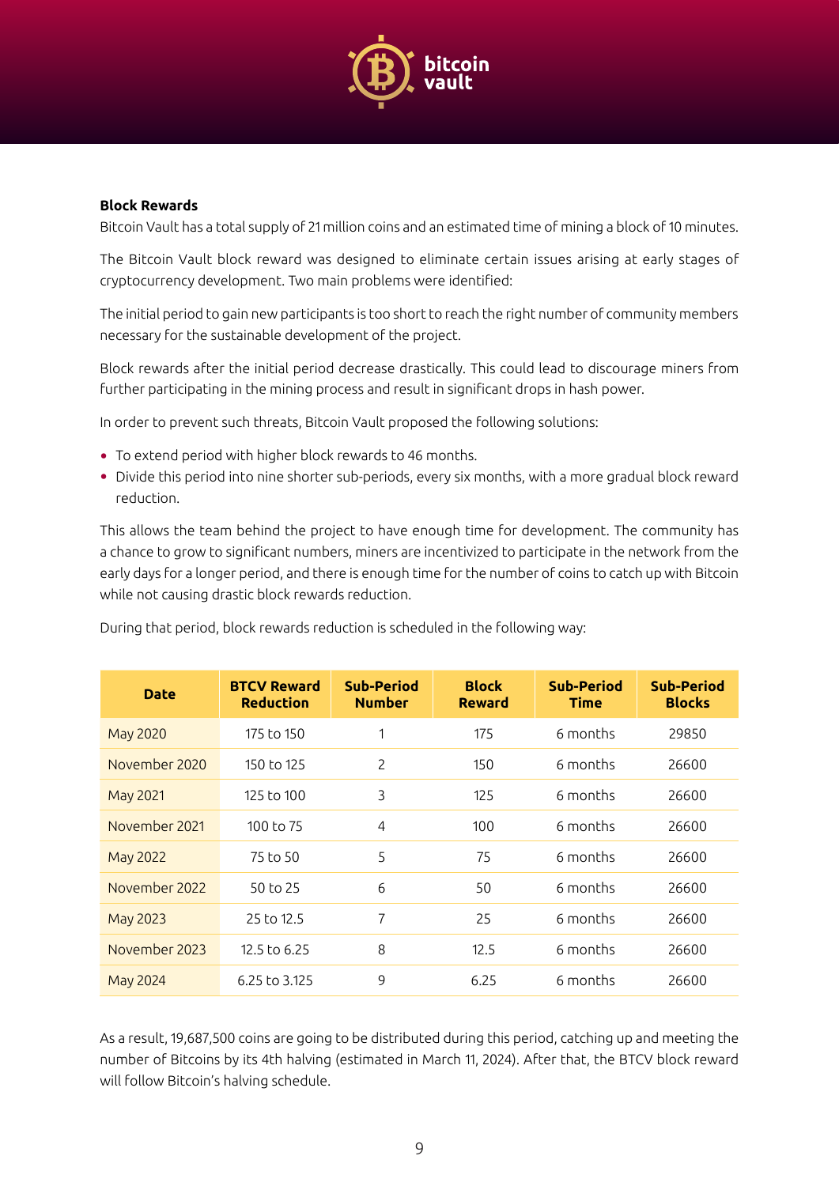

#### <span id="page-8-0"></span>**Block Rewards**

Bitcoin Vault has a total supply of 21 million coins and an estimated time of mining a block of 10 minutes.

The Bitcoin Vault block reward was designed to eliminate certain issues arising at early stages of cryptocurrency development. Two main problems were identified:

The initial period to gain new participants is too short to reach the right number of community members necessary for the sustainable development of the project.

Block rewards after the initial period decrease drastically. This could lead to discourage miners from further participating in the mining process and result in significant drops in hash power.

In order to prevent such threats, Bitcoin Vault proposed the following solutions:

- To extend period with higher block rewards to 46 months.
- Divide this period into nine shorter sub-periods, every six months, with a more gradual block reward reduction.

This allows the team behind the project to have enough time for development. The community has a chance to grow to significant numbers, miners are incentivized to participate in the network from the early days for a longer period, and there is enough time for the number of coins to catch up with Bitcoin while not causing drastic block rewards reduction.

| <b>Date</b>   | <b>BTCV Reward</b><br><b>Reduction</b> | Sub-Period<br><b>Number</b> | <b>Block</b><br><b>Reward</b> | <b>Sub-Period</b><br><b>Time</b> | Sub-Period<br><b>Blocks</b> |
|---------------|----------------------------------------|-----------------------------|-------------------------------|----------------------------------|-----------------------------|
| May 2020      | 175 to 150                             |                             | 175                           | 6 months                         | 29850                       |
| November 2020 | 150 to 125                             | $\overline{2}$              | 150                           | 6 months                         | 26600                       |
| May 2021      | 125 to 100                             | 3                           | 125                           | 6 months                         | 26600                       |
| November 2021 | 100 to $75$                            | $\overline{4}$              | 100                           | 6 months                         | 26600                       |
| May 2022      | 75 to 50                               | 5                           | 75                            | 6 months                         | 26600                       |
| November 2022 | 50 to 25                               | 6                           | 50                            | 6 months                         | 26600                       |
| May 2023      | 25 to 12.5                             | $\overline{7}$              | 25                            | 6 months                         | 26600                       |
| November 2023 | $12.5$ to 6.25                         | 8                           | 12.5                          | 6 months                         | 26600                       |
| May 2024      | 6.25 to 3.125                          | 9                           | 6.25                          | 6 months                         | 26600                       |

During that period, block rewards reduction is scheduled in the following way:

As a result, 19,687,500 coins are going to be distributed during this period, catching up and meeting the number of Bitcoins by its 4th halving (estimated in March 11, 2024). After that, the BTCV block reward will follow Bitcoin's halving schedule.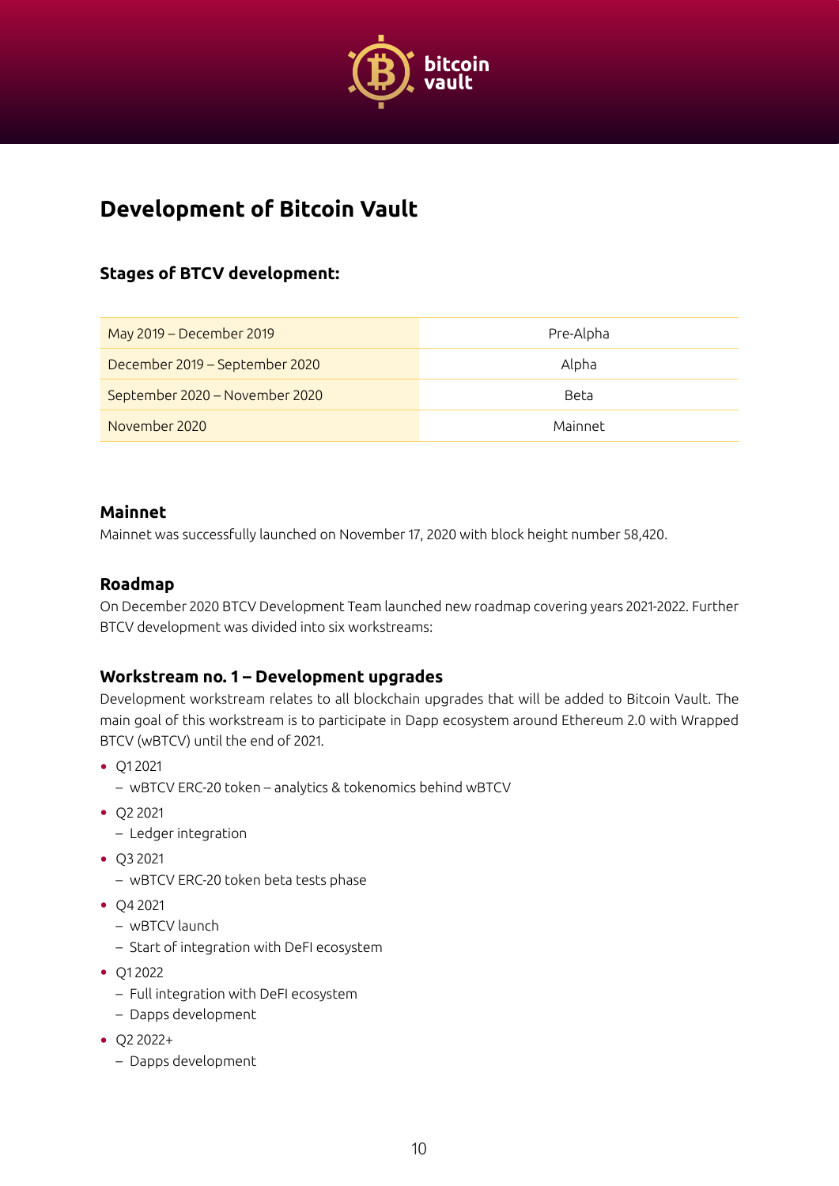

## <span id="page-9-0"></span>**Development of Bitcoin Vault**

## **Stages of BTCV development:**

| May 2019 - December 2019       | Pre-Alpha   |
|--------------------------------|-------------|
| December 2019 – September 2020 | Alpha       |
| September 2020 - November 2020 | <b>Beta</b> |
| November 2020                  | Mainnet     |

#### **Mainnet**

Mainnet was successfully launched on November 17, 2020 with block height number 58,420.

#### **Roadmap**

On December 2020 BTCV Development Team launched new roadmap covering years 2021-2022. Further BTCV development was divided into six workstreams:

#### **Workstream no. 1 – Development upgrades**

Development workstream relates to all blockchain upgrades that will be added to Bitcoin Vault. The main goal of this workstream is to participate in Dapp ecosystem around Ethereum 2.0 with Wrapped BTCV (wBTCV) until the end of 2021.

- Q1 2021
	- wBTCV ERC-20 token analytics & tokenomics behind wBTCV
- Q2 2021
	- Ledger integration
- Q3 2021
	- wBTCV ERC-20 token beta tests phase
- Q4 2021
	- wBTCV launch
	- Start of integration with DeFI ecosystem
- Q1 2022
	- Full integration with DeFI ecosystem
	- Dapps development
- Q2 2022+
	- Dapps development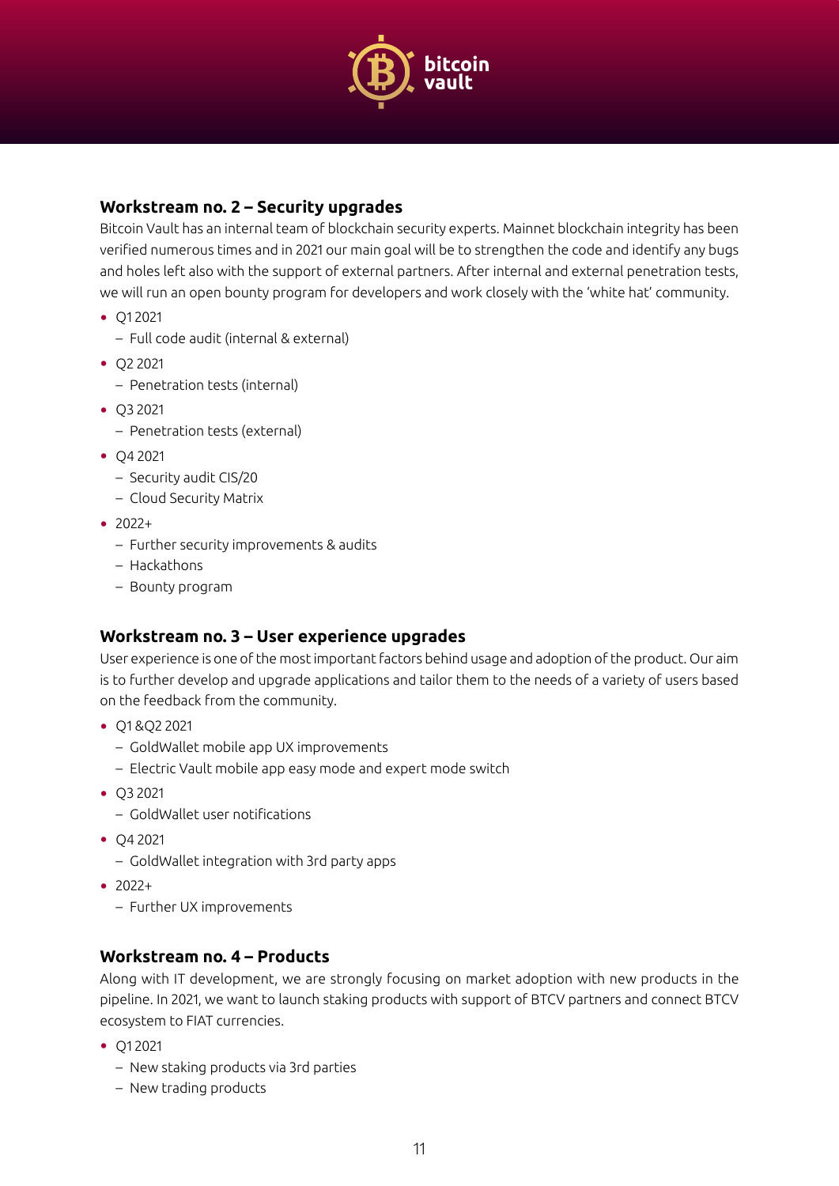

## <span id="page-10-0"></span>**Workstream no. 2 – Security upgrades**

Bitcoin Vault has an internal team of blockchain security experts. Mainnet blockchain integrity has been verified numerous times and in 2021 our main goal will be to strengthen the code and identify any bugs and holes left also with the support of external partners. After internal and external penetration tests, we will run an open bounty program for developers and work closely with the 'white hat' community.

- Q1 2021
	- Full code audit (internal & external)
- Q2 2021
	- Penetration tests (internal)
- Q3 2021
	- Penetration tests (external)
- Q4 2021
	- Security audit CIS/20
	- Cloud Security Matrix
- 2022+
	- Further security improvements & audits
	- Hackathons
	- Bounty program

## **Workstream no. 3 – User experience upgrades**

User experience is one of the most important factors behind usage and adoption of the product. Our aim is to further develop and upgrade applications and tailor them to the needs of a variety of users based on the feedback from the community.

- Q1 &Q2 2021
	- GoldWallet mobile app UX improvements
	- Electric Vault mobile app easy mode and expert mode switch
- Q3 2021
	- GoldWallet user notifications
- Q4 2021
	- GoldWallet integration with 3rd party apps
- 2022+
	- Further UX improvements

#### **Workstream no. 4 – Products**

Along with IT development, we are strongly focusing on market adoption with new products in the pipeline. In 2021, we want to launch staking products with support of BTCV partners and connect BTCV ecosystem to FIAT currencies.

- Q1 2021
	- New staking products via 3rd parties
	- New trading products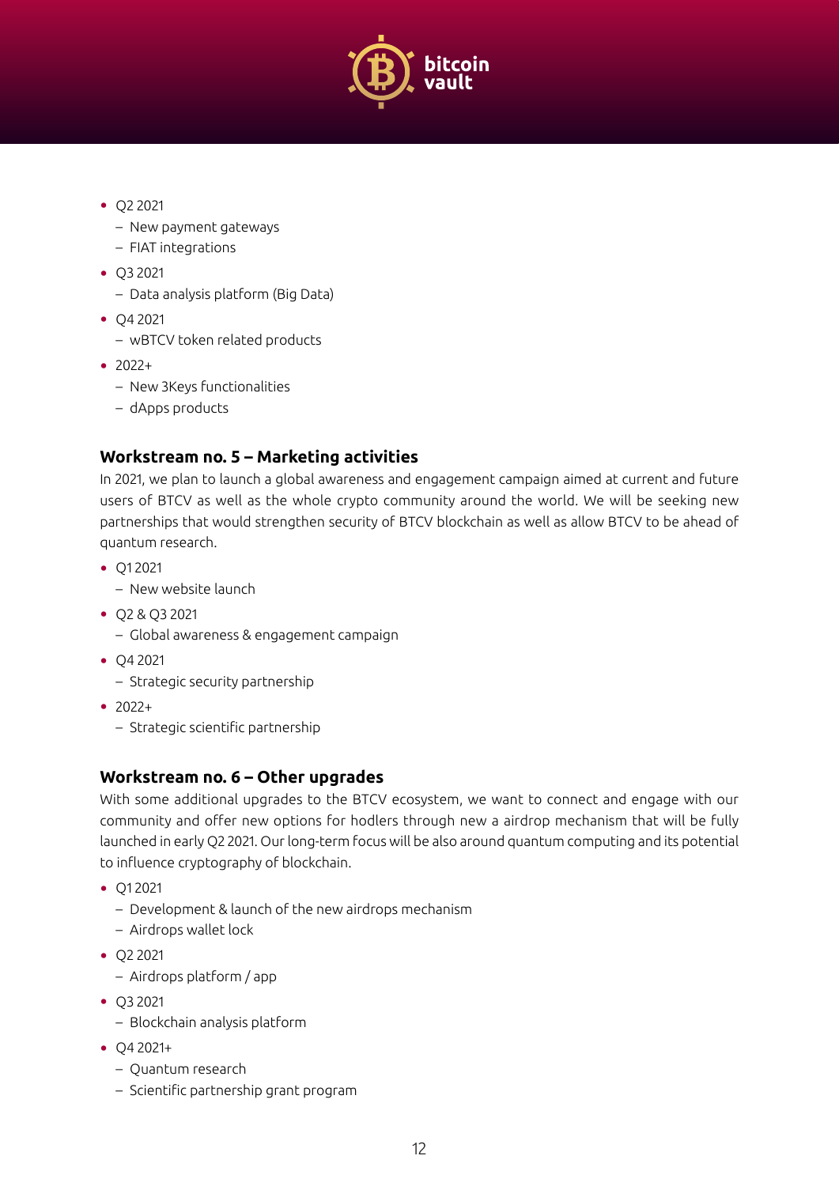

- <span id="page-11-0"></span>• Q2 2021
	- New payment gateways
	- FIAT integrations
- Q3 2021
	- Data analysis platform (Big Data)
- Q4 2021
	- wBTCV token related products
- $2022+$ 
	- New 3Keys functionalities
	- dApps products

## **Workstream no. 5 – Marketing activities**

In 2021, we plan to launch a global awareness and engagement campaign aimed at current and future users of BTCV as well as the whole crypto community around the world. We will be seeking new partnerships that would strengthen security of BTCV blockchain as well as allow BTCV to be ahead of quantum research.

- Q1 2021
	- New website launch
- Q2 & Q3 2021
	- Global awareness & engagement campaign
- Q4 2021
	- Strategic security partnership
- 2022+
	- Strategic scientific partnership

## **Workstream no. 6 – Other upgrades**

With some additional upgrades to the BTCV ecosystem, we want to connect and engage with our community and offer new options for hodlers through new a airdrop mechanism that will be fully launched in early Q2 2021. Our long-term focus will be also around quantum computing and its potential to influence cryptography of blockchain.

- Q1 2021
	- Development & launch of the new airdrops mechanism
	- Airdrops wallet lock
- Q2 2021
	- Airdrops platform / app
- Q3 2021
	- Blockchain analysis platform
- Q4 2021+
	- Quantum research
	- Scientific partnership grant program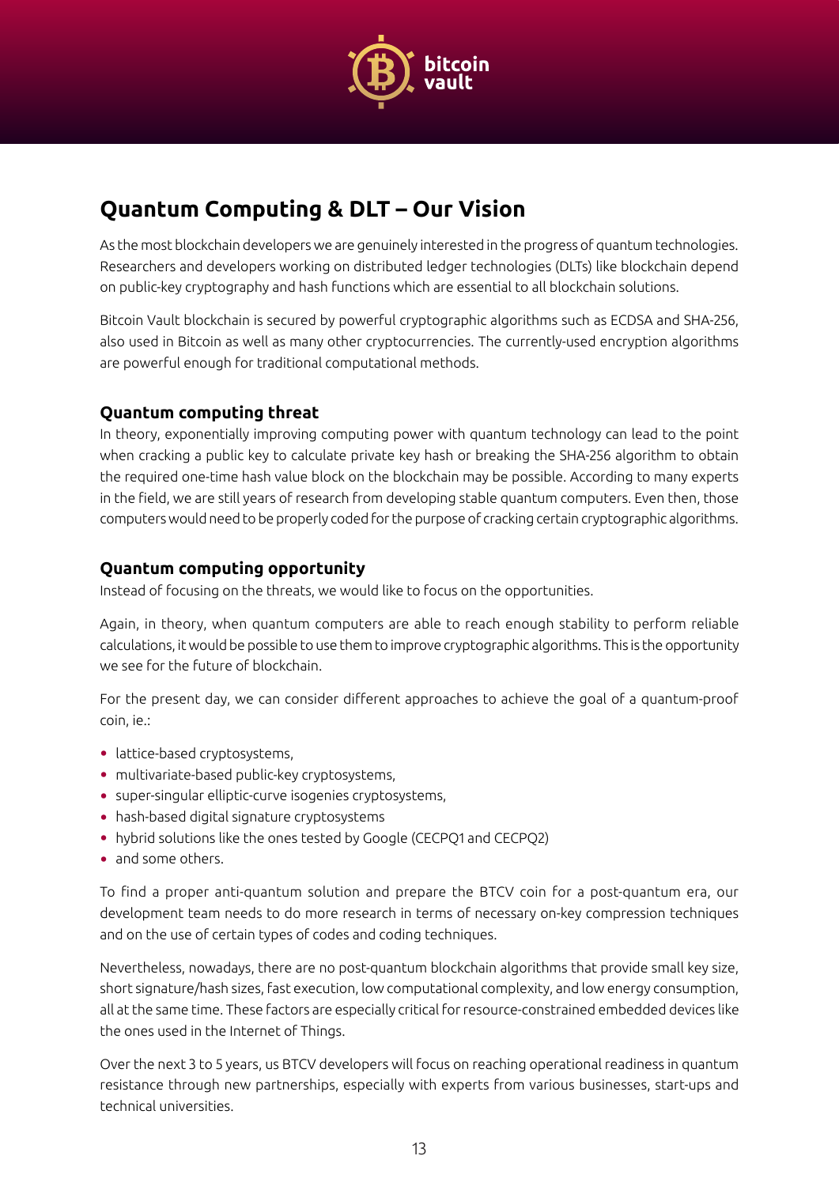

# <span id="page-12-0"></span>**Quantum Computing & DLT – Our Vision**

As the most blockchain developers we are genuinely interested in the progress of quantum technologies. Researchers and developers working on distributed ledger technologies (DLTs) like blockchain depend on public-key cryptography and hash functions which are essential to all blockchain solutions.

Bitcoin Vault blockchain is secured by powerful cryptographic algorithms such as ECDSA and SHA-256, also used in Bitcoin as well as many other cryptocurrencies. The currently-used encryption algorithms are powerful enough for traditional computational methods.

## **Quantum computing threat**

In theory, exponentially improving computing power with quantum technology can lead to the point when cracking a public key to calculate private key hash or breaking the SHA-256 algorithm to obtain the required one-time hash value block on the blockchain may be possible. According to many experts in the field, we are still years of research from developing stable quantum computers. Even then, those computers would need to be properly coded for the purpose of cracking certain cryptographic algorithms.

## **Quantum computing opportunity**

Instead of focusing on the threats, we would like to focus on the opportunities.

Again, in theory, when quantum computers are able to reach enough stability to perform reliable calculations, it would be possible to use them to improve cryptographic algorithms. This is the opportunity we see for the future of blockchain.

For the present day, we can consider different approaches to achieve the goal of a quantum-proof coin, ie.:

- lattice-based cryptosystems,
- multivariate-based public-key cryptosystems,
- super-singular elliptic-curve isogenies cryptosystems,
- hash-based digital signature cryptosystems
- hybrid solutions like the ones tested by Google (CECPQ1 and CECPQ2)
- and some others.

To find a proper anti-quantum solution and prepare the BTCV coin for a post-quantum era, our development team needs to do more research in terms of necessary on-key compression techniques and on the use of certain types of codes and coding techniques.

Nevertheless, nowadays, there are no post-quantum blockchain algorithms that provide small key size, short signature/hash sizes, fast execution, low computational complexity, and low energy consumption, all at the same time. These factors are especially critical for resource-constrained embedded devices like the ones used in the Internet of Things.

Over the next 3 to 5 years, us BTCV developers will focus on reaching operational readiness in quantum resistance through new partnerships, especially with experts from various businesses, start-ups and technical universities.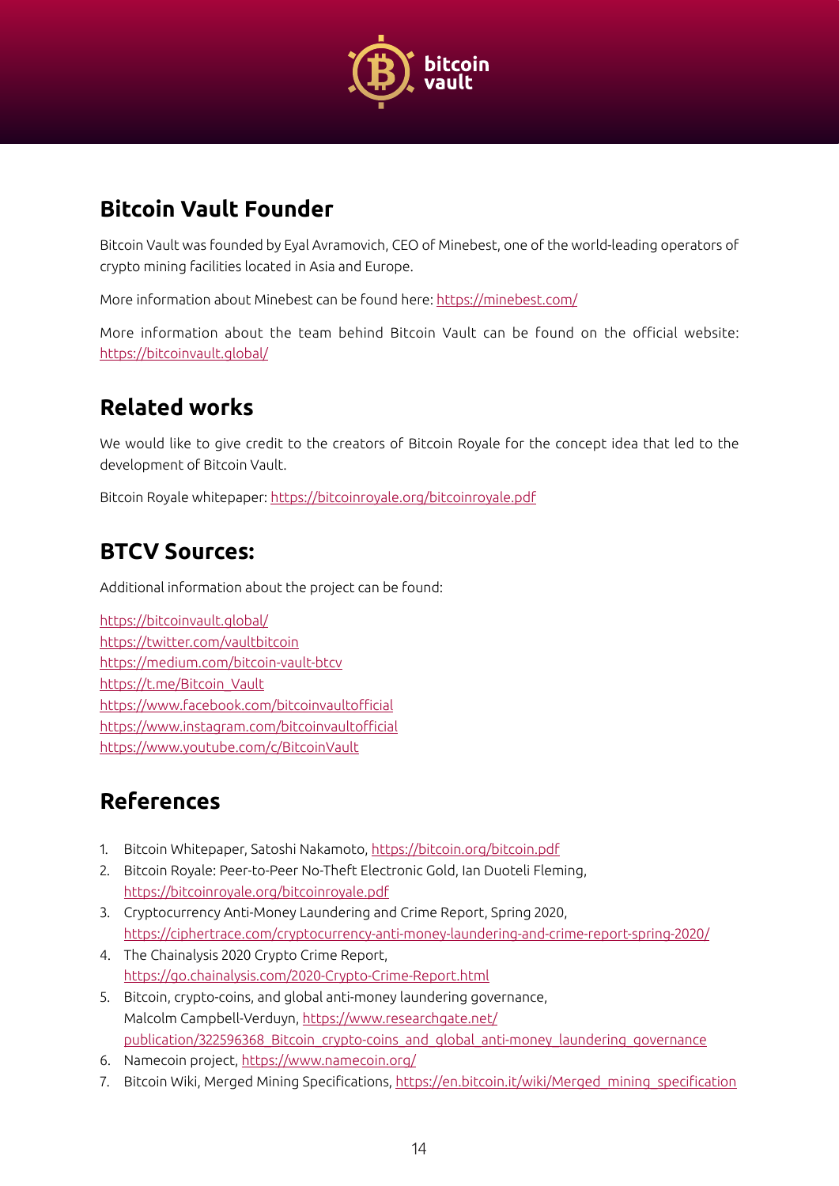

# <span id="page-13-0"></span>**Bitcoin Vault Founder**

Bitcoin Vault was founded by Eyal Avramovich, CEO of Minebest, one of the world-leading operators of crypto mining facilities located in Asia and Europe.

More information about Minebest can be found here: <https://minebest.com/>

More information about the team behind Bitcoin Vault can be found on the official website: <https://bitcoinvault.global/>

## **Related works**

We would like to give credit to the creators of Bitcoin Royale for the concept idea that led to the development of Bitcoin Vault.

Bitcoin Royale whitepaper:<https://bitcoinroyale.org/bitcoinroyale.pdf>

## **BTCV Sources:**

Additional information about the project can be found:

<https://bitcoinvault.global/> <https://twitter.com/vaultbitcoin> <https://medium.com/bitcoin-vault-btcv> [https://t.me/Bitcoin\\_Vault](https://t.me/Bitcoin_Vault) <https://www.facebook.com/bitcoinvaultofficial> <https://www.instagram.com/bitcoinvaultofficial> <https://www.youtube.com/c/BitcoinVault>

## **References**

- 1. Bitcoin Whitepaper, Satoshi Nakamoto, <https://bitcoin.org/bitcoin.pdf>
- 2. Bitcoin Royale: Peer-to-Peer No-Theft Electronic Gold, Ian Duoteli Fleming, <https://bitcoinroyale.org/bitcoinroyale.pdf>
- 3. Cryptocurrency Anti-Money Laundering and Crime Report, Spring 2020, <https://ciphertrace.com/cryptocurrency-anti-money-laundering-and-crime-report-spring-2020/>
- 4. The Chainalysis 2020 Crypto Crime Report, <https://go.chainalysis.com/2020-Crypto-Crime-Report.html>
- 5. Bitcoin, crypto-coins, and global anti-money laundering governance, Malcolm Campbell-Verduyn, [https://www.researchgate.net/](https://www.researchgate.net/publication/322596368_Bitcoin_crypto-coins_and_global_anti-money_laundering_governance) publication/322596368 Bitcoin crypto-coins and global anti-money laundering governance
- 6. Namecoin project,<https://www.namecoin.org/>
- 7. Bitcoin Wiki, Merged Mining Specifications, [https://en.bitcoin.it/wiki/Merged\\_mining\\_specification](https://en.bitcoin.it/wiki/Merged_mining_specification)